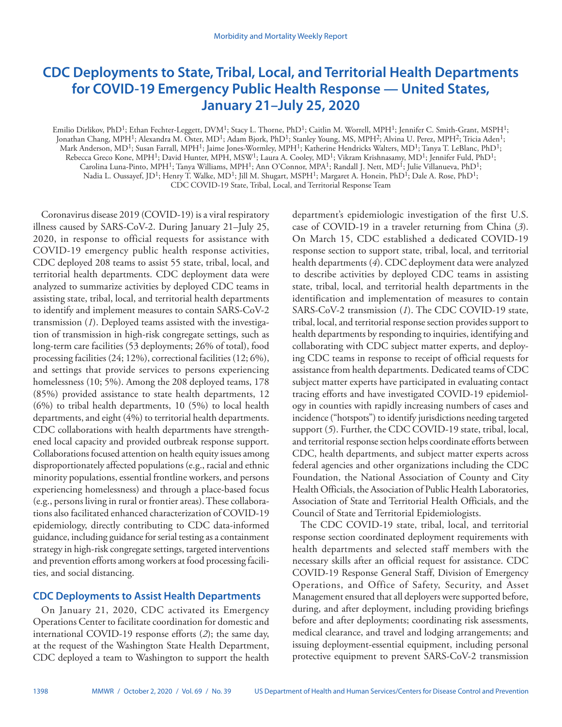# **CDC Deployments to State, Tribal, Local, and Territorial Health Departments for COVID-19 Emergency Public Health Response — United States, January 21–July 25, 2020**

Emilio Dirlikov, PhD<sup>1</sup>; Ethan Fechter-Leggett, DVM<sup>1</sup>; Stacy L. Thorne, PhD<sup>1</sup>; Caitlin M. Worrell, MPH<sup>1</sup>; Jennifer C. Smith-Grant, MSPH<sup>1</sup>; Jonathan Chang, MPH<sup>1</sup>; Alexandra M. Oster, MD<sup>1</sup>; Adam Bjork, PhD<sup>1</sup>; Stanley Young, MS, MPH<sup>2</sup>; Alvina U. Perez, MPH<sup>2</sup>; Tricia Aden<sup>1</sup>; Mark Anderson, MD<sup>1</sup>; Susan Farrall, MPH<sup>1</sup>; Jaime Jones-Wormley, MPH<sup>1</sup>; Katherine Hendricks Walters, MD<sup>1</sup>; Tanya T. LeBlanc, PhD<sup>1</sup>; Rebecca Greco Kone, MPH<sup>1</sup>; David Hunter, MPH, MSW<sup>1</sup>; Laura A. Cooley, MD<sup>1</sup>; Vikram Krishnasamy, MD<sup>1</sup>; Jennifer Fuld, PhD<sup>1</sup>; Carolina Luna-Pinto, MPH<sup>1</sup>; Tanya Williams, MPH<sup>1</sup>; Ann O'Connor, MPA<sup>1</sup>; Randall J. Nett, MD<sup>1</sup>; Julie Villanueva, PhD<sup>1</sup>; Nadia L. Oussayef, JD<sup>1</sup>; Henry T. Walke, MD<sup>1</sup>; Jill M. Shugart, MSPH<sup>1</sup>; Margaret A. Honein, PhD<sup>1</sup>; Dale A. Rose, PhD<sup>1</sup>; CDC COVID-19 State, Tribal, Local, and Territorial Response Team

Coronavirus disease 2019 (COVID-19) is a viral respiratory illness caused by SARS-CoV-2. During January 21–July 25, 2020, in response to official requests for assistance with COVID-19 emergency public health response activities, CDC deployed 208 teams to assist 55 state, tribal, local, and territorial health departments. CDC deployment data were analyzed to summarize activities by deployed CDC teams in assisting state, tribal, local, and territorial health departments to identify and implement measures to contain SARS-CoV-2 transmission (*1*). Deployed teams assisted with the investigation of transmission in high-risk congregate settings, such as long-term care facilities (53 deployments; 26% of total), food processing facilities (24; 12%), correctional facilities (12; 6%), and settings that provide services to persons experiencing homelessness (10; 5%). Among the 208 deployed teams, 178 (85%) provided assistance to state health departments, 12 (6%) to tribal health departments, 10 (5%) to local health departments, and eight (4%) to territorial health departments. CDC collaborations with health departments have strengthened local capacity and provided outbreak response support. Collaborations focused attention on health equity issues among disproportionately affected populations (e.g., racial and ethnic minority populations, essential frontline workers, and persons experiencing homelessness) and through a place-based focus (e.g., persons living in rural or frontier areas). These collaborations also facilitated enhanced characterization of COVID-19 epidemiology, directly contributing to CDC data-informed guidance, including guidance for serial testing as a containment strategy in high-risk congregate settings, targeted interventions and prevention efforts among workers at food processing facilities, and social distancing.

# **CDC Deployments to Assist Health Departments**

On January 21, 2020, CDC activated its Emergency Operations Center to facilitate coordination for domestic and international COVID-19 response efforts (*2*); the same day, at the request of the Washington State Health Department, CDC deployed a team to Washington to support the health department's epidemiologic investigation of the first U.S. case of COVID-19 in a traveler returning from China (*3*). On March 15, CDC established a dedicated COVID-19 response section to support state, tribal, local, and territorial health departments (*4*). CDC deployment data were analyzed to describe activities by deployed CDC teams in assisting state, tribal, local, and territorial health departments in the identification and implementation of measures to contain SARS-CoV-2 transmission (*1*). The CDC COVID-19 state, tribal, local, and territorial response section provides support to health departments by responding to inquiries, identifying and collaborating with CDC subject matter experts, and deploying CDC teams in response to receipt of official requests for assistance from health departments. Dedicated teams of CDC subject matter experts have participated in evaluating contact tracing efforts and have investigated COVID-19 epidemiology in counties with rapidly increasing numbers of cases and incidence ("hotspots") to identify jurisdictions needing targeted support (*5*). Further, the CDC COVID-19 state, tribal, local, and territorial response section helps coordinate efforts between CDC, health departments, and subject matter experts across federal agencies and other organizations including the CDC Foundation, the National Association of County and City Health Officials, the Association of Public Health Laboratories, Association of State and Territorial Health Officials, and the Council of State and Territorial Epidemiologists.

The CDC COVID-19 state, tribal, local, and territorial response section coordinated deployment requirements with health departments and selected staff members with the necessary skills after an official request for assistance. CDC COVID-19 Response General Staff, Division of Emergency Operations, and Office of Safety, Security, and Asset Management ensured that all deployers were supported before, during, and after deployment, including providing briefings before and after deployments; coordinating risk assessments, medical clearance, and travel and lodging arrangements; and issuing deployment-essential equipment, including personal protective equipment to prevent SARS-CoV-2 transmission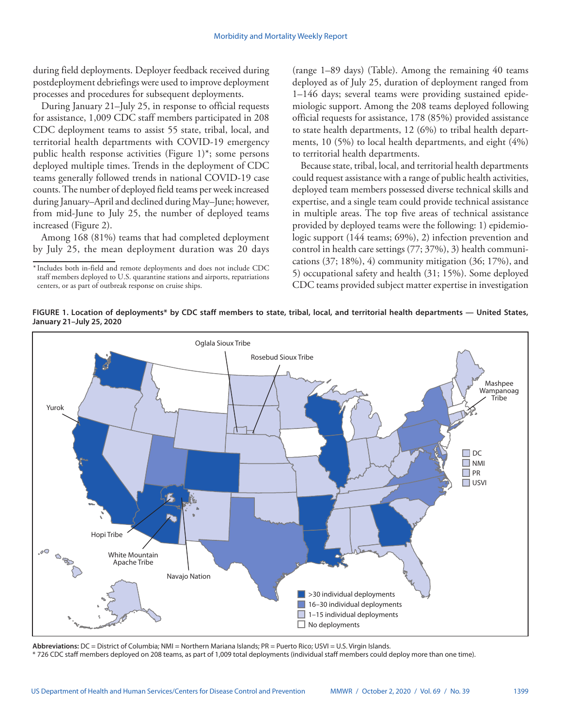during field deployments. Deployer feedback received during postdeployment debriefings were used to improve deployment processes and procedures for subsequent deployments.

During January 21–July 25, in response to official requests for assistance, 1,009 CDC staff members participated in 208 CDC deployment teams to assist 55 state, tribal, local, and territorial health departments with COVID-19 emergency public health response activities (Figure 1)\*; some persons deployed multiple times. Trends in the deployment of CDC teams generally followed trends in national COVID-19 case counts. The number of deployed field teams per week increased during January–April and declined during May–June; however, from mid-June to July 25, the number of deployed teams increased (Figure 2).

Among 168 (81%) teams that had completed deployment by July 25, the mean deployment duration was 20 days (range 1–89 days) (Table). Among the remaining 40 teams deployed as of July 25, duration of deployment ranged from 1–146 days; several teams were providing sustained epidemiologic support. Among the 208 teams deployed following official requests for assistance, 178 (85%) provided assistance to state health departments, 12 (6%) to tribal health departments, 10 (5%) to local health departments, and eight (4%) to territorial health departments.

Because state, tribal, local, and territorial health departments could request assistance with a range of public health activities, deployed team members possessed diverse technical skills and expertise, and a single team could provide technical assistance in multiple areas. The top five areas of technical assistance provided by deployed teams were the following: 1) epidemiologic support (144 teams; 69%), 2) infection prevention and control in health care settings (77; 37%), 3) health communications  $(37; 18\%), 4$  community mitigation  $(36; 17\%)$ , and 5) occupational safety and health (31; 15%). Some deployed CDC teams provided subject matter expertise in investigation

**FIGURE 1. Location of deployments\* by CDC staff members to state, tribal, local, and territorial health departments — United States, January 21–July 25, 2020**



**Abbreviations:** DC = District of Columbia; NMI = Northern Mariana Islands; PR = Puerto Rico; USVI = U.S. Virgin Islands.

\* 726 CDC staff members deployed on 208 teams, as part of 1,009 total deployments (individual staff members could deploy more than one time).

<sup>\*</sup>Includes both in-field and remote deployments and does not include CDC staff members deployed to U.S. quarantine stations and airports, repatriations centers, or as part of outbreak response on cruise ships.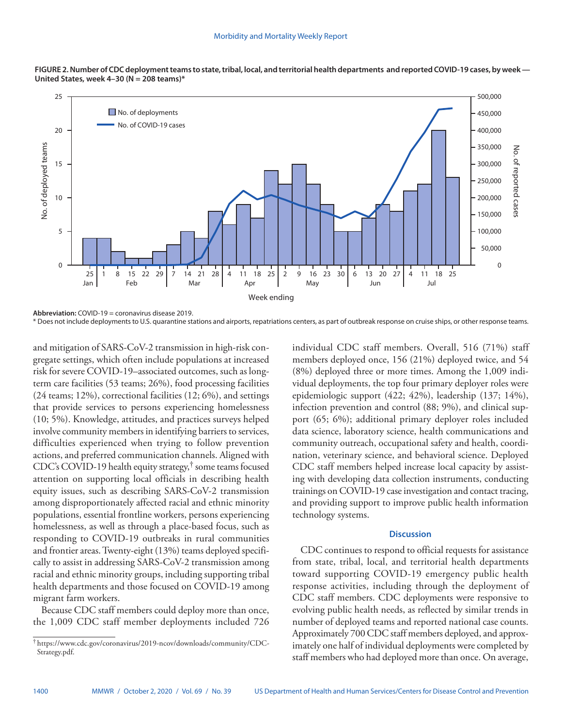



**Abbreviation:** COVID-19 = coronavirus disease 2019.

\* Does not include deployments to U.S. quarantine stations and airports, repatriations centers, as part of outbreak response on cruise ships, or other response teams.

and mitigation of SARS-CoV-2 transmission in high-risk congregate settings, which often include populations at increased risk for severe COVID-19–associated outcomes, such as longterm care facilities (53 teams; 26%), food processing facilities (24 teams; 12%), correctional facilities (12; 6%), and settings that provide services to persons experiencing homelessness (10; 5%). Knowledge, attitudes, and practices surveys helped involve community members in identifying barriers to services, difficulties experienced when trying to follow prevention actions, and preferred communication channels. Aligned with CDC's COVID-19 health equity strategy,† some teams focused attention on supporting local officials in describing health equity issues, such as describing SARS-CoV-2 transmission among disproportionately affected racial and ethnic minority populations, essential frontline workers, persons experiencing homelessness, as well as through a place-based focus, such as responding to COVID-19 outbreaks in rural communities and frontier areas. Twenty-eight (13%) teams deployed specifically to assist in addressing SARS-CoV-2 transmission among racial and ethnic minority groups, including supporting tribal health departments and those focused on COVID-19 among migrant farm workers.

Because CDC staff members could deploy more than once, the 1,009 CDC staff member deployments included 726 individual CDC staff members. Overall, 516 (71%) staff members deployed once, 156 (21%) deployed twice, and 54 (8%) deployed three or more times. Among the 1,009 individual deployments, the top four primary deployer roles were epidemiologic support (422; 42%), leadership (137; 14%), infection prevention and control (88; 9%), and clinical support (65; 6%); additional primary deployer roles included data science, laboratory science, health communications and community outreach, occupational safety and health, coordination, veterinary science, and behavioral science. Deployed CDC staff members helped increase local capacity by assisting with developing data collection instruments, conducting trainings on COVID-19 case investigation and contact tracing, and providing support to improve public health information technology systems.

## **Discussion**

CDC continues to respond to official requests for assistance from state, tribal, local, and territorial health departments toward supporting COVID-19 emergency public health response activities, including through the deployment of CDC staff members. CDC deployments were responsive to evolving public health needs, as reflected by similar trends in number of deployed teams and reported national case counts. Approximately 700 CDC staff members deployed, and approximately one half of individual deployments were completed by staff members who had deployed more than once. On average,

<sup>†</sup> [https://www.cdc.gov/coronavirus/2019-ncov/downloads/community/CDC-](https://www.cdc.gov/coronavirus/2019-ncov/downloads/community/CDC-Strategy.pdf)[Strategy.pdf](https://www.cdc.gov/coronavirus/2019-ncov/downloads/community/CDC-Strategy.pdf).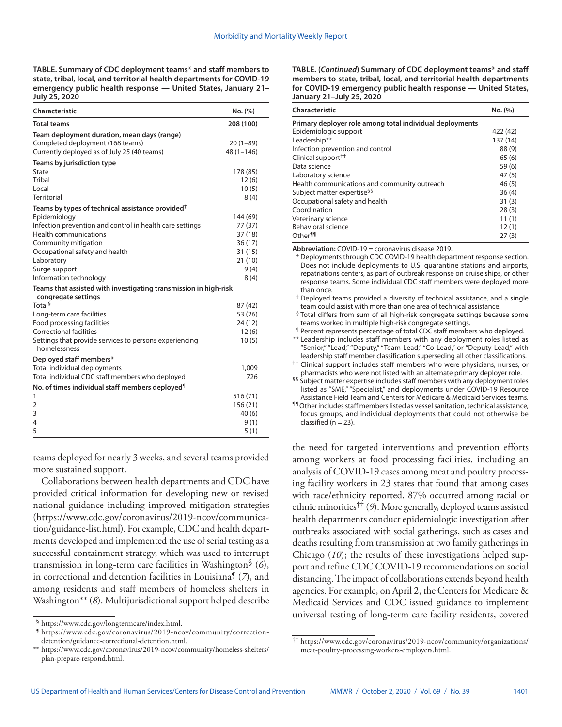**TABLE. Summary of CDC deployment teams\* and staff members to state, tribal, local, and territorial health departments for COVID-19 emergency public health response — United States, January 21– July 25, 2020**

| Characteristic                                                                                                                 | No. (%)                     |
|--------------------------------------------------------------------------------------------------------------------------------|-----------------------------|
| <b>Total teams</b>                                                                                                             | 208 (100)                   |
| Team deployment duration, mean days (range)<br>Completed deployment (168 teams)<br>Currently deployed as of July 25 (40 teams) | $20(1-89)$<br>$48(1 - 146)$ |
| Teams by jurisdiction type                                                                                                     |                             |
| <b>State</b>                                                                                                                   | 178 (85)                    |
| Tribal                                                                                                                         | 12(6)                       |
| Local                                                                                                                          | 10(5)                       |
| <b>Territorial</b>                                                                                                             | 8(4)                        |
| Teams by types of technical assistance provided <sup>†</sup>                                                                   |                             |
| Epidemiology                                                                                                                   | 144 (69)                    |
| Infection prevention and control in health care settings                                                                       | 77 (37)                     |
| <b>Health communications</b>                                                                                                   | 37(18)                      |
| Community mitigation                                                                                                           | 36(17)<br>31(15)            |
| Occupational safety and health<br>Laboratory                                                                                   | 21(10)                      |
| Surge support                                                                                                                  | 9(4)                        |
| Information technology                                                                                                         | 8(4)                        |
| Teams that assisted with investigating transmission in high-risk                                                               |                             |
| congregate settings                                                                                                            |                             |
| Total <sup>§</sup>                                                                                                             | 87 (42)                     |
| Long-term care facilities                                                                                                      | 53 (26)                     |
| Food processing facilities                                                                                                     | 24 (12)                     |
| <b>Correctional facilities</b>                                                                                                 | 12(6)                       |
| Settings that provide services to persons experiencing<br>homelessness                                                         | 10(5)                       |
| Deployed staff members*                                                                                                        |                             |
| Total individual deployments                                                                                                   | 1,009                       |
| Total individual CDC staff members who deployed                                                                                | 726                         |
| No. of times individual staff members deployed <sup>¶</sup>                                                                    |                             |
| 1                                                                                                                              | 516 (71)                    |
| $\overline{2}$                                                                                                                 | 156 (21)                    |
| 3                                                                                                                              | 40(6)                       |
| 4                                                                                                                              | 9(1)                        |
| 5                                                                                                                              | 5(1)                        |

teams deployed for nearly 3 weeks, and several teams provided more sustained support.

Collaborations between health departments and CDC have provided critical information for developing new or revised national guidance including improved mitigation strategies ([https://www.cdc.gov/coronavirus/2019-ncov/communica](https://www.cdc.gov/coronavirus/2019-ncov/communication/guidance-list.html)[tion/guidance-list.html\)](https://www.cdc.gov/coronavirus/2019-ncov/communication/guidance-list.html). For example, CDC and health departments developed and implemented the use of serial testing as a successful containment strategy, which was used to interrupt transmission in long-term care facilities in Washington§ (*6*), in correctional and detention facilities in Louisiana¶ (*7*), and among residents and staff members of homeless shelters in Washington\*\* (*8*). Multijurisdictional support helped describe **TABLE. (***Continued***) Summary of CDC deployment teams\* and staff members to state, tribal, local, and territorial health departments for COVID-19 emergency public health response — United States, January 21–July 25, 2020**

| Characteristic                                           | No. (%)  |
|----------------------------------------------------------|----------|
| Primary deployer role among total individual deployments |          |
| Epidemiologic support                                    | 422 (42) |
| Leadership**                                             | 137 (14) |
| Infection prevention and control                         | 88 (9)   |
| Clinical support <sup>††</sup>                           | 65(6)    |
| Data science                                             | 59(6)    |
| Laboratory science                                       | 47(5)    |
| Health communications and community outreach             | 46(5)    |
| Subject matter expertise <sup>§§</sup>                   | 36(4)    |
| Occupational safety and health                           | 31(3)    |
| Coordination                                             | 28(3)    |
| Veterinary science                                       | 11(1)    |
| Behavioral science                                       | 12(1)    |
| Other <sup>11</sup>                                      | 27(3)    |

**Abbreviation:** COVID-19 = coronavirus disease 2019.

\* Deployments through CDC COVID-19 health department response section. Does not include deployments to U.S. quarantine stations and airports, repatriations centers, as part of outbreak response on cruise ships, or other response teams. Some individual CDC staff members were deployed more than once.

† Deployed teams provided a diversity of technical assistance, and a single team could assist with more than one area of technical assistance.

<sup>§</sup> Total differs from sum of all high-risk congregate settings because some teams worked in multiple high-risk congregate settings.

¶ Percent represents percentage of total CDC staff members who deployed.

\*\* Leadership includes staff members with any deployment roles listed as "Senior," "Lead," "Deputy," "Team Lead," "Co-Lead," or "Deputy Lead," with leadership staff member classification superseding all other classifications.

 $^{\dagger\dagger}$  Clinical support includes staff members who were physicians, nurses, or pharmacists who were not listed with an alternate primary deployer role.

<sup>§§</sup> Subiect matter expertise includes staff members with any deployment roles listed as "SME," "Specialist," and deployments under COVID-19 Resource Assistance Field Team and Centers for Medicare & Medicaid Services teams.

¶¶ Other includes staff members listed as vessel sanitation, technical assistance, focus groups, and individual deployments that could not otherwise be  $classified (n = 23)$ .

the need for targeted interventions and prevention efforts among workers at food processing facilities, including an analysis of COVID-19 cases among meat and poultry processing facility workers in 23 states that found that among cases with race/ethnicity reported, 87% occurred among racial or ethnic minorities†† (*9*). More generally, deployed teams assisted health departments conduct epidemiologic investigation after outbreaks associated with social gatherings, such as cases and deaths resulting from transmission at two family gatherings in Chicago (*10*); the results of these investigations helped support and refine CDC COVID-19 recommendations on social distancing. The impact of collaborations extends beyond health agencies. For example, on April 2, the Centers for Medicare & Medicaid Services and CDC issued guidance to implement universal testing of long-term care facility residents, covered

<sup>§</sup> [https://www.cdc.gov/longtermcare/index.html.](https://www.cdc.gov/longtermcare/index.html) ¶ [https://www.cdc.gov/coronavirus/2019-ncov/community/correction](https://www.cdc.gov/coronavirus/2019-ncov/community/correction-detention/guidance-correctional-detention.html)[detention/guidance-correctional-detention.html](https://www.cdc.gov/coronavirus/2019-ncov/community/correction-detention/guidance-correctional-detention.html).

<sup>\*\*</sup> [https://www.cdc.gov/coronavirus/2019-ncov/community/homeless-shelters/](https://www.cdc.gov/coronavirus/2019-ncov/community/homeless-shelters/plan-prepare-respond.html) [plan-prepare-respond.html.](https://www.cdc.gov/coronavirus/2019-ncov/community/homeless-shelters/plan-prepare-respond.html)

<sup>††</sup> [https://www.cdc.gov/coronavirus/2019-ncov/community/organizations/](https://www.cdc.gov/coronavirus/2019-ncov/community/organizations/meat-poultry-processing-workers-employers.html) [meat-poultry-processing-workers-employers.html](https://www.cdc.gov/coronavirus/2019-ncov/community/organizations/meat-poultry-processing-workers-employers.html).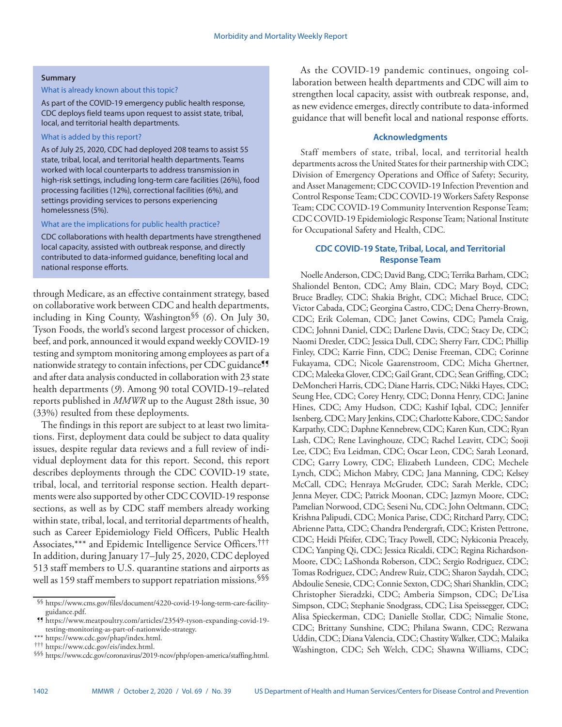#### **Summary**

### What is already known about this topic?

As part of the COVID-19 emergency public health response, CDC deploys field teams upon request to assist state, tribal, local, and territorial health departments.

#### What is added by this report?

As of July 25, 2020, CDC had deployed 208 teams to assist 55 state, tribal, local, and territorial health departments. Teams worked with local counterparts to address transmission in high-risk settings, including long-term care facilities (26%), food processing facilities (12%), correctional facilities (6%), and settings providing services to persons experiencing homelessness (5%).

#### What are the implications for public health practice?

CDC collaborations with health departments have strengthened local capacity, assisted with outbreak response, and directly contributed to data-informed guidance, benefiting local and national response efforts.

through Medicare, as an effective containment strategy, based on collaborative work between CDC and health departments, including in King County, Washington§§ (*6*). On July 30, Tyson Foods, the world's second largest processor of chicken, beef, and pork, announced it would expand weekly COVID-19 testing and symptom monitoring among employees as part of a nationwide strategy to contain infections, per CDC guidance<sup>99</sup> and after data analysis conducted in collaboration with 23 state health departments (*9*). Among 90 total COVID-19–related reports published in *MMWR* up to the August 28th issue, 30 (33%) resulted from these deployments.

The findings in this report are subject to at least two limitations. First, deployment data could be subject to data quality issues, despite regular data reviews and a full review of individual deployment data for this report. Second, this report describes deployments through the CDC COVID-19 state, tribal, local, and territorial response section. Health departments were also supported by other CDC COVID-19 response sections, as well as by CDC staff members already working within state, tribal, local, and territorial departments of health, such as Career Epidemiology Field Officers, Public Health Associates,\*\*\* and Epidemic Intelligence Service Officers.††† In addition, during January 17–July 25, 2020, CDC deployed 513 staff members to U.S. quarantine stations and airports as well as 159 staff members to support repatriation missions.<sup>§§§</sup>

As the COVID-19 pandemic continues, ongoing collaboration between health departments and CDC will aim to strengthen local capacity, assist with outbreak response, and, as new evidence emerges, directly contribute to data-informed guidance that will benefit local and national response efforts.

## **Acknowledgments**

Staff members of state, tribal, local, and territorial health departments across the United States for their partnership with CDC; Division of Emergency Operations and Office of Safety; Security, and Asset Management; CDC COVID-19 Infection Prevention and Control Response Team; CDC COVID-19 Workers Safety Response Team; CDC COVID-19 Community Intervention Response Team; CDC COVID-19 Epidemiologic Response Team; National Institute for Occupational Safety and Health, CDC.

# **CDC COVID-19 State, Tribal, Local, and Territorial Response Team**

Noelle Anderson, CDC; David Bang, CDC; Terrika Barham, CDC; Shaliondel Benton, CDC; Amy Blain, CDC; Mary Boyd, CDC; Bruce Bradley, CDC; Shakia Bright, CDC; Michael Bruce, CDC; Victor Cabada, CDC; Georgina Castro, CDC; Dena Cherry-Brown, CDC; Erik Coleman, CDC; Janet Cowins, CDC; Pamela Craig, CDC; Johnni Daniel, CDC; Darlene Davis, CDC; Stacy De, CDC; Naomi Drexler, CDC; Jessica Dull, CDC; Sherry Farr, CDC; Phillip Finley, CDC; Karrie Finn, CDC; Denise Freeman, CDC; Corinne Fukayama, CDC; Nicole Gaarenstroom, CDC; Micha Ghertner, CDC; Maleeka Glover, CDC; Gail Grant, CDC; Sean Griffing, CDC; DeMoncheri Harris, CDC; Diane Harris, CDC; Nikki Hayes, CDC; Seung Hee, CDC; Corey Henry, CDC; Donna Henry, CDC; Janine Hines, CDC; Amy Hudson, CDC; Kashif Iqbal, CDC; Jennifer Isenberg, CDC; Mary Jenkins, CDC; Charlotte Kabore, CDC; Sandor Karpathy, CDC; Daphne Kennebrew, CDC; Karen Kun, CDC; Ryan Lash, CDC; Rene Lavinghouze, CDC; Rachel Leavitt, CDC; Sooji Lee, CDC; Eva Leidman, CDC; Oscar Leon, CDC; Sarah Leonard, CDC; Garry Lowry, CDC; Elizabeth Lundeen, CDC; Mechele Lynch, CDC; Michon Mabry, CDC; Jana Manning, CDC; Kelsey McCall, CDC; Henraya McGruder, CDC; Sarah Merkle, CDC; Jenna Meyer, CDC; Patrick Moonan, CDC; Jazmyn Moore, CDC; Pamelian Norwood, CDC; Seseni Nu, CDC; John Oeltmann, CDC; Krishna Palipudi, CDC; Monica Parise, CDC; Ritchard Parry, CDC; Abrienne Patta, CDC; Chandra Pendergraft, CDC; Kristen Pettrone, CDC; Heidi Pfeifer, CDC; Tracy Powell, CDC; Nykiconia Preacely, CDC; Yanping Qi, CDC; Jessica Ricaldi, CDC; Regina Richardson-Moore, CDC; LaShonda Roberson, CDC; Sergio Rodriguez, CDC; Tomas Rodriguez, CDC; Andrew Ruiz, CDC; Sharon Saydah, CDC; Abdoulie Senesie, CDC; Connie Sexton, CDC; Shari Shanklin, CDC; Christopher Sieradzki, CDC; Amberia Simpson, CDC; De'Lisa Simpson, CDC; Stephanie Snodgrass, CDC; Lisa Speissegger, CDC; Alisa Spieckerman, CDC; Danielle Stollar, CDC; Nimalie Stone, CDC; Brittany Sunshine, CDC; Philana Swann, CDC; Rezwana Uddin, CDC; Diana Valencia, CDC; Chastity Walker, CDC; Malaika Washington, CDC; Seh Welch, CDC; Shawna Williams, CDC;

<sup>§§</sup> [https://www.cms.gov/files/document/4220-covid-19-long-term-care-facility](https://www.cms.gov/files/document/4220-covid-19-long-term-care-facility-guidance.pdf)[guidance.pdf.](https://www.cms.gov/files/document/4220-covid-19-long-term-care-facility-guidance.pdf) ¶¶ [https://www.meatpoultry.com/articles/23549-tyson-expanding-covid-19-](https://www.meatpoultry.com/articles/23549-tyson-expanding-covid-19-testing-monitoring-as-part-of-nationwide-strategy)

[testing-monitoring-as-part-of-nationwide-strategy](https://www.meatpoultry.com/articles/23549-tyson-expanding-covid-19-testing-monitoring-as-part-of-nationwide-strategy).

<sup>\*\*\*</sup> [https://www.cdc.gov/phap/index.html.](https://www.cdc.gov/phap/index.html) ††† [https://www.cdc.gov/eis/index.html.](https://www.cdc.gov/eis/index.html) §§§ <https://www.cdc.gov/coronavirus/2019-ncov/php/open-america/staffing.html>.